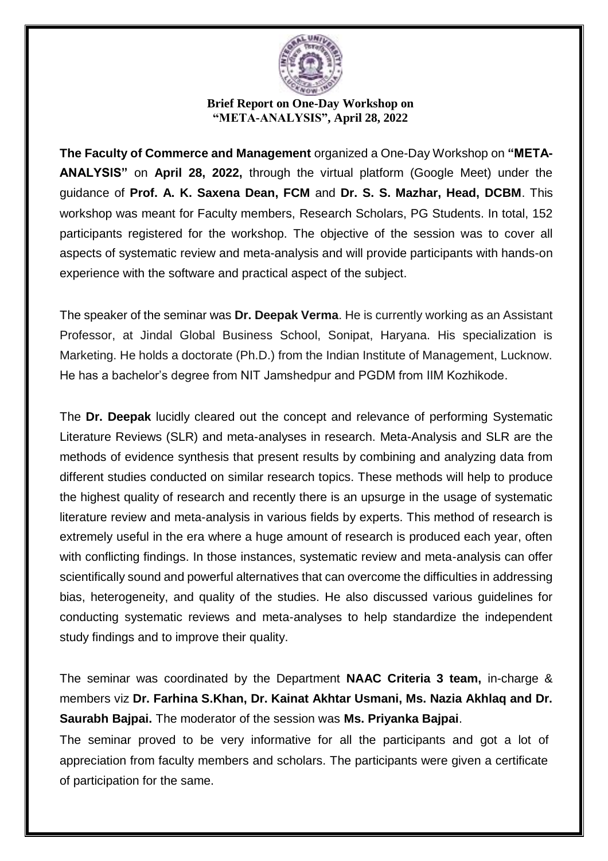

## **Brief Report on One-Day Workshop on "META-ANALYSIS", April 28, 2022**

**The Faculty of Commerce and Management** organized a One-Day Workshop on **"META-ANALYSIS"** on **April 28, 2022,** through the virtual platform (Google Meet) under the guidance of **Prof. A. K. Saxena Dean, FCM** and **Dr. S. S. Mazhar, Head, DCBM**. This workshop was meant for Faculty members, Research Scholars, PG Students. In total, 152 participants registered for the workshop. The objective of the session was to cover all aspects of systematic review and meta-analysis and will provide participants with hands-on experience with the software and practical aspect of the subject.

The speaker of the seminar was **Dr. Deepak Verma**. He is currently working as an Assistant Professor, at Jindal Global Business School, Sonipat, Haryana. His specialization is Marketing. He holds a doctorate (Ph.D.) from the Indian Institute of Management, Lucknow. He has a bachelor's degree from NIT Jamshedpur and PGDM from IIM Kozhikode.

The **Dr. Deepak** lucidly cleared out the concept and relevance of performing Systematic Literature Reviews (SLR) and meta-analyses in research. Meta-Analysis and SLR are the methods of evidence synthesis that present results by combining and analyzing data from different studies conducted on similar research topics. These methods will help to produce the highest quality of research and recently there is an upsurge in the usage of systematic literature review and meta-analysis in various fields by experts. This method of research is extremely useful in the era where a huge amount of research is produced each year, often with conflicting findings. In those instances, systematic review and meta-analysis can offer scientifically sound and powerful alternatives that can overcome the difficulties in addressing bias, heterogeneity, and quality of the studies. He also discussed various guidelines for conducting systematic reviews and meta-analyses to help standardize the independent study findings and to improve their quality.

The seminar was coordinated by the Department **NAAC Criteria 3 team,** in-charge & members viz **Dr. Farhina S.Khan, Dr. Kainat Akhtar Usmani, Ms. Nazia Akhlaq and Dr. Saurabh Bajpai.** The moderator of the session was **Ms. Priyanka Bajpai**.

The seminar proved to be very informative for all the participants and got a lot of appreciation from faculty members and scholars. The participants were given a certificate of participation for the same.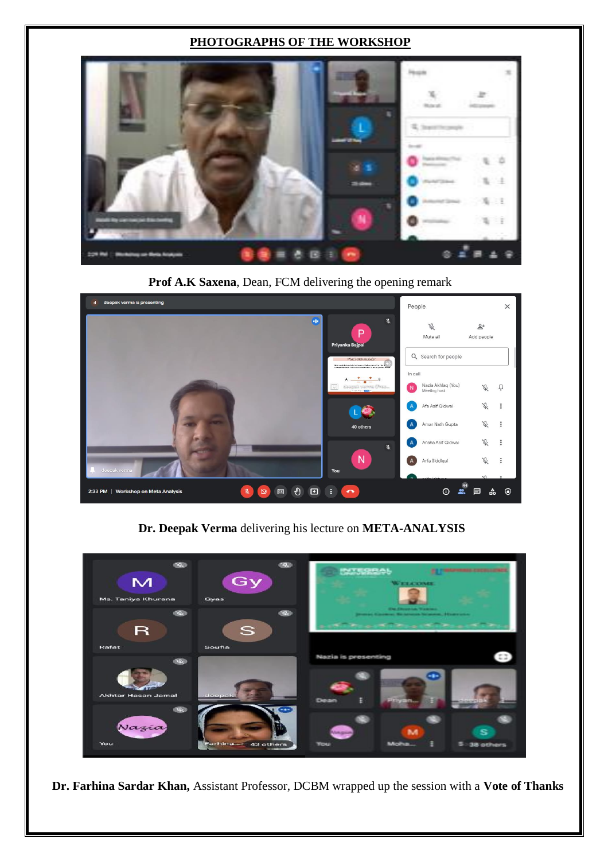## **PHOTOGRAPHS OF THE WORKSHOP**



**Prof A.K Saxena**, Dean, FCM delivering the opening remark



**Dr. Deepak Verma** delivering his lecture on **META-ANALYSIS**



**Dr. Farhina Sardar Khan,** Assistant Professor, DCBM wrapped up the session with a **Vote of Thanks**